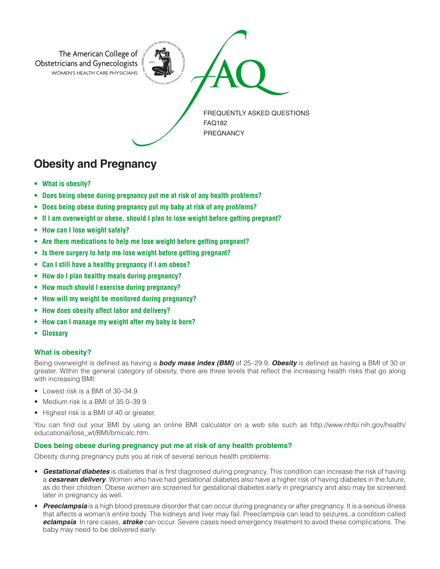

# **Obesity and Pregnancy**

- **• What is obesity?**
- **• Does being obese during pregnancy put me at risk of any health problems?**
- **• Does being obese during pregnancy put my baby at risk of any problems?**
- **• If I am overweight or obese, should I plan to lose weight before getting pregnant?**
- **• How can I lose weight safely?**
- **• Are there medications to help me lose weight before getting pregnant?**
- **• Is there surgery to help me lose weight before getting pregnant?**
- **• Can I still have a healthy pregnancy if I am obese?**
- **• How do I plan healthy meals during pregnancy?**
- **• How much should I exercise during pregnancy?**
- **• How will my weight be monitored during pregnancy?**
- **• How does obesity affect labor and delivery?**
- **• How can I manage my weight after my baby is born?**
- **• Glossary**

# **What is obesity?**

Being overweight is defined as having a *body mass index (BMI)* of 25–29.9. *Obesity* is defined as having a BMI of 30 or greater. Within the general category of obesity, there are three levels that reflect the increasing health risks that go along with increasing BMI:

- Lowest risk is a BMI of 30–34.9.
- Medium risk is a BMI of 35.0–39.9.
- Highest risk is a BMI of 40 or greater.

You can find out your BMI by using an online BMI calculator on a web site such as http://www.nhlbi.nih.gov/health/ educational/lose\_wt/BMI/bmicalc.htm.

# **Does being obese during pregnancy put me at risk of any health problems?**

Obesity during pregnancy puts you at risk of several serious health problems:

- *Gestational diabetes* is diabetes that is first diagnosed during pregnancy. This condition can increase the risk of having a *cesarean delivery*. Women who have had gestational diabetes also have a higher risk of having diabetes in the future, as do their children. Obese women are screened for gestational diabetes early in pregnancy and also may be screened later in pregnancy as well.
- **Preeclampsia** is a high blood pressure disorder that can occur during pregnancy or after pregnancy. It is a serious illness that affects a woman's entire body. The kidneys and liver may fail. Preeclampsia can lead to seizures, a condition called *eclampsia*. In rare cases, *stroke* can occur. Severe cases need emergency treatment to avoid these complications. The baby may need to be delivered early.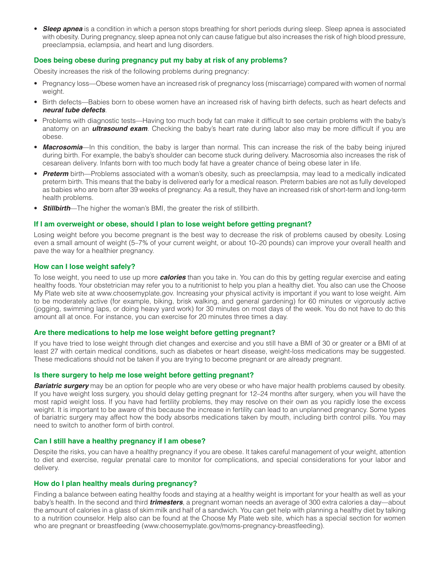**Sleep apnea** is a condition in which a person stops breathing for short periods during sleep. Sleep apnea is associated with obesity. During pregnancy, sleep apnea not only can cause fatigue but also increases the risk of high blood pressure, preeclampsia, eclampsia, and heart and lung disorders.

# **Does being obese during pregnancy put my baby at risk of any problems?**

Obesity increases the risk of the following problems during pregnancy:

- Pregnancy loss—Obese women have an increased risk of pregnancy loss (miscarriage) compared with women of normal weight.
- Birth defects—Babies born to obese women have an increased risk of having birth defects, such as heart defects and *neural tube defects*.
- Problems with diagnostic tests—Having too much body fat can make it difficult to see certain problems with the baby's anatomy on an *ultrasound exam*. Checking the baby's heart rate during labor also may be more difficult if you are obese.
- **Macrosomia**—In this condition, the baby is larger than normal. This can increase the risk of the baby being injured during birth. For example, the baby's shoulder can become stuck during delivery. Macrosomia also increases the risk of cesarean delivery. Infants born with too much body fat have a greater chance of being obese later in life.
- *Preterm* birth—Problems associated with a woman's obesity, such as preeclampsia, may lead to a medically indicated preterm birth. This means that the baby is delivered early for a medical reason. Preterm babies are not as fully developed as babies who are born after 39 weeks of pregnancy. As a result, they have an increased risk of short-term and long-term health problems.
- *Stillbirth*—The higher the woman's BMI, the greater the risk of stillbirth.

# **If I am overweight or obese, should I plan to lose weight before getting pregnant?**

Losing weight before you become pregnant is the best way to decrease the risk of problems caused by obesity. Losing even a small amount of weight (5–7% of your current weight, or about 10–20 pounds) can improve your overall health and pave the way for a healthier pregnancy.

#### **How can I lose weight safely?**

To lose weight, you need to use up more *calories* than you take in. You can do this by getting regular exercise and eating healthy foods. Your obstetrician may refer you to a nutritionist to help you plan a healthy diet. You also can use the Choose My Plate web site at www.choosemyplate.gov. Increasing your physical activity is important if you want to lose weight. Aim to be moderately active (for example, biking, brisk walking, and general gardening) for 60 minutes or vigorously active (jogging, swimming laps, or doing heavy yard work) for 30 minutes on most days of the week. You do not have to do this amount all at once. For instance, you can exercise for 20 minutes three times a day.

# **Are there medications to help me lose weight before getting pregnant?**

If you have tried to lose weight through diet changes and exercise and you still have a BMI of 30 or greater or a BMI of at least 27 with certain medical conditions, such as diabetes or heart disease, weight-loss medications may be suggested. These medications should not be taken if you are trying to become pregnant or are already pregnant.

#### **Is there surgery to help me lose weight before getting pregnant?**

**Bariatric surgery** may be an option for people who are very obese or who have major health problems caused by obesity. If you have weight loss surgery, you should delay getting pregnant for 12–24 months after surgery, when you will have the most rapid weight loss. If you have had fertility problems, they may resolve on their own as you rapidly lose the excess weight. It is important to be aware of this because the increase in fertility can lead to an unplanned pregnancy. Some types of bariatric surgery may affect how the body absorbs medications taken by mouth, including birth control pills. You may need to switch to another form of birth control.

#### **Can I still have a healthy pregnancy if I am obese?**

Despite the risks, you can have a healthy pregnancy if you are obese. It takes careful management of your weight, attention to diet and exercise, regular prenatal care to monitor for complications, and special considerations for your labor and delivery.

#### **How do I plan healthy meals during pregnancy?**

Finding a balance between eating healthy foods and staying at a healthy weight is important for your health as well as your baby's health. In the second and third *trimesters*, a pregnant woman needs an average of 300 extra calories a day—about the amount of calories in a glass of skim milk and half of a sandwich. You can get help with planning a healthy diet by talking to a nutrition counselor. Help also can be found at the Choose My Plate web site, which has a special section for women who are pregnant or breastfeeding (www.choosemyplate.gov/moms-pregnancy-breastfeeding).